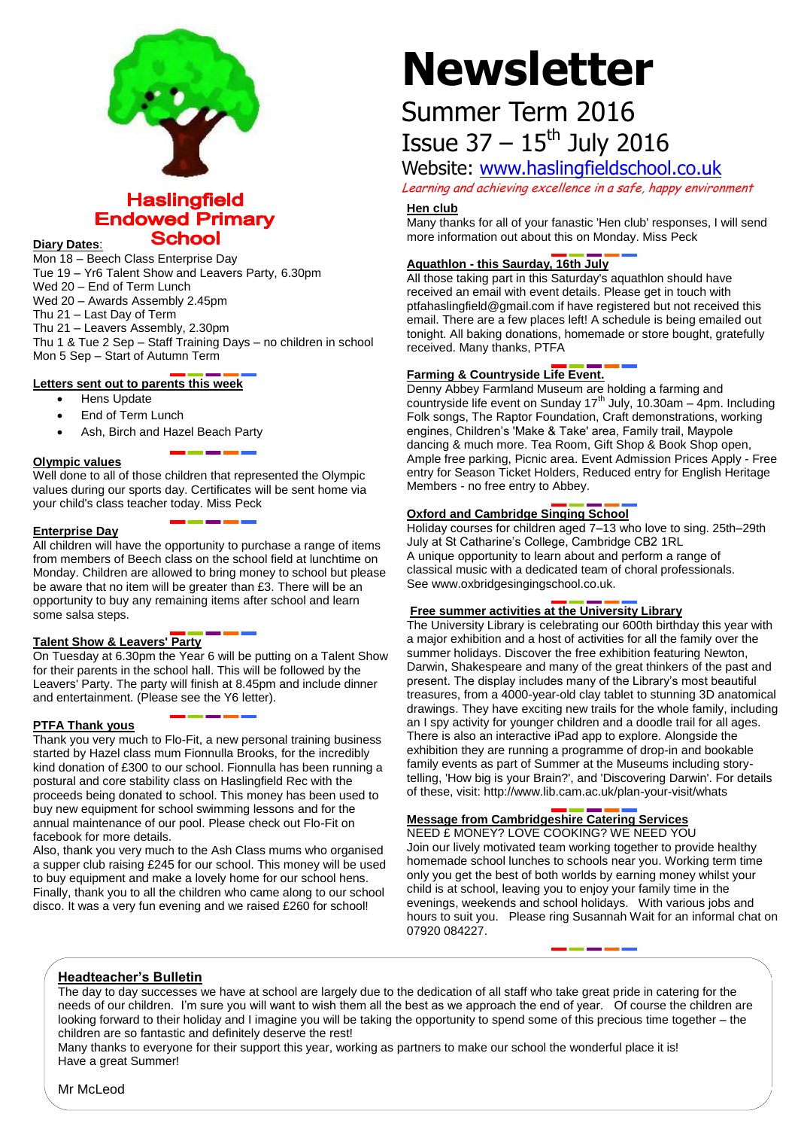

# **Haslingfield Endowed Primary School**

**Diary Dates**:

Mon 18 – Beech Class Enterprise Day Tue 19 – Yr6 Talent Show and Leavers Party, 6.30pm Wed 20 – End of Term Lunch Wed 20 – Awards Assembly 2.45pm Thu 21 – Last Day of Term Thu 21 – Leavers Assembly, 2.30pm Thu 1 & Tue 2 Sep – Staff Training Days – no children in school

## **Letters sent out to parents this week**

Mon 5 Sep – Start of Autumn Term

- Hens Update
- End of Term Lunch
- Ash, Birch and Hazel Beach Party

### **Olympic values**

Well done to all of those children that represented the Olympic values during our sports day. Certificates will be sent home via your child's class teacher today. Miss Peck

# **Enterprise Day**

All children will have the opportunity to purchase a range of items from members of Beech class on the school field at lunchtime on Monday. Children are allowed to bring money to school but please be aware that no item will be greater than £3. There will be an opportunity to buy any remaining items after school and learn some salsa steps.

# **Talent Show & Leavers' Party**

On Tuesday at 6.30pm the Year 6 will be putting on a Talent Show for their parents in the school hall. This will be followed by the Leavers' Party. The party will finish at 8.45pm and include dinner and entertainment. (Please see the Y6 letter).

### **PTFA Thank yous**

Thank you very much to Flo-Fit, a new personal training business started by Hazel class mum Fionnulla Brooks, for the incredibly kind donation of £300 to our school. Fionnulla has been running a postural and core stability class on Haslingfield Rec with the proceeds being donated to school. This money has been used to buy new equipment for school swimming lessons and for the annual maintenance of our pool. Please check out Flo-Fit on facebook for more details.

Also, thank you very much to the Ash Class mums who organised a supper club raising £245 for our school. This money will be used to buy equipment and make a lovely home for our school hens. Finally, thank you to all the children who came along to our school disco. It was a very fun evening and we raised £260 for school!

# **Newsletter**

# Summer Term 2016 Issue  $37 - 15$ <sup>th</sup> July 2016

# Website: [www.haslingfieldschool.co.uk](http://www.haslingfieldschool.co.uk/)

Learning and achieving excellence in a safe, happy environment

### **Hen club**

Many thanks for all of your fanastic 'Hen club' responses, I will send more information out about this on Monday. Miss Peck

# **Aquathlon - this Saurday, 16th July**

All those taking part in this Saturday's aquathlon should have received an email with event details. Please get in touch with ptfahaslingfield@gmail.com if have registered but not received this email. There are a few places left! A schedule is being emailed out tonight. All baking donations, homemade or store bought, gratefully received. Many thanks, PTFA

# **Farming & Countryside Life Event.**

Denny Abbey Farmland Museum are holding a farming and countryside life event on Sunday 17<sup>th</sup> July, 10.30am – 4pm. Including Folk songs, The Raptor Foundation, Craft demonstrations, working engines, Children's 'Make & Take' area, Family trail, Maypole dancing & much more. Tea Room, Gift Shop & Book Shop open, Ample free parking, Picnic area. Event Admission Prices Apply - Free entry for Season Ticket Holders, Reduced entry for English Heritage Members - no free entry to Abbey.

# **Oxford and Cambridge Singing School**

Holiday courses for children aged 7–13 who love to sing. 25th–29th July at St Catharine's College, Cambridge CB2 1RL A unique opportunity to learn about and perform a range of classical music with a dedicated team of choral professionals. See www.oxbridgesingingschool.co.uk.

### **Free summer activities at the University Library**

The University Library is celebrating our 600th birthday this year with a major exhibition and a host of activities for all the family over the summer holidays. Discover the free exhibition featuring Newton, Darwin, Shakespeare and many of the great thinkers of the past and present. The display includes many of the Library's most beautiful treasures, from a 4000-year-old clay tablet to stunning 3D anatomical drawings. They have exciting new trails for the whole family, including an I spy activity for younger children and a doodle trail for all ages. There is also an interactive iPad app to explore. Alongside the exhibition they are running a programme of drop-in and bookable family events as part of Summer at the Museums including storytelling, 'How big is your Brain?', and 'Discovering Darwin'. For details of these, visit: http://www.lib.cam.ac.uk/plan-your-visit/whats

# **Message from Cambridgeshire Catering Services**

NEED £ MONEY? LOVE COOKING? WE NEED YOU Join our lively motivated team working together to provide healthy homemade school lunches to schools near you. Working term time only you get the best of both worlds by earning money whilst your child is at school, leaving you to enjoy your family time in the evenings, weekends and school holidays. With various jobs and hours to suit you. Please ring Susannah Wait for an informal chat on 07920 084227.

# **Headteacher's Bulletin**

The day to day successes we have at school are largely due to the dedication of all staff who take great pride in catering for the needs of our children. I'm sure you will want to wish them all the best as we approach the end of year. Of course the children are looking forward to their holiday and I imagine you will be taking the opportunity to spend some of this precious time together – the children are so fantastic and definitely deserve the rest!

Many thanks to everyone for their support this year, working as partners to make our school the wonderful place it is! Have a great Summer!